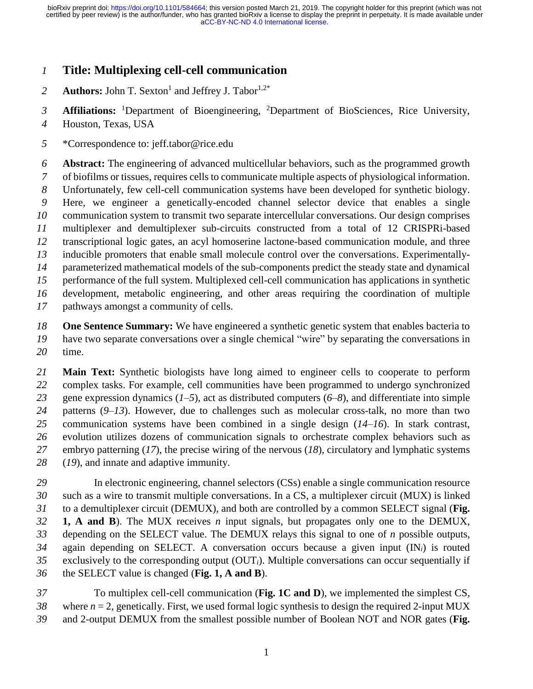# **Title: Multiplexing cell-cell communication**

Authors: John T. Sexton<sup>1</sup> and Jeffrey J. Tabor<sup>1,2\*</sup> 

3 **Affiliations:** <sup>1</sup>Department of Bioengineering, <sup>2</sup>Department of BioSciences, Rice University,

- Houston, Texas, USA
- \*Correspondence to: jeff.tabor@rice.edu

 **Abstract:** The engineering of advanced multicellular behaviors, such as the programmed growth of biofilms or tissues, requires cells to communicate multiple aspects of physiological information. Unfortunately, few cell-cell communication systems have been developed for synthetic biology. Here, we engineer a genetically-encoded channel selector device that enables a single communication system to transmit two separate intercellular conversations. Our design comprises multiplexer and demultiplexer sub-circuits constructed from a total of 12 CRISPRi-based transcriptional logic gates, an acyl homoserine lactone-based communication module, and three inducible promoters that enable small molecule control over the conversations. Experimentally- parameterized mathematical models of the sub-components predict the steady state and dynamical performance of the full system. Multiplexed cell-cell communication has applications in synthetic development, metabolic engineering, and other areas requiring the coordination of multiple pathways amongst a community of cells.

 **One Sentence Summary:** We have engineered a synthetic genetic system that enables bacteria to have two separate conversations over a single chemical "wire" by separating the conversations in time.

 **Main Text:** Synthetic biologists have long aimed to engineer cells to cooperate to perform complex tasks. For example, cell communities have been programmed to undergo synchronized gene expression dynamics (*1*–*5*), act as distributed computers (*6*–*8*), and differentiate into simple patterns (*9*–*13*). However, due to challenges such as molecular cross-talk, no more than two communication systems have been combined in a single design (*14*–*16*). In stark contrast, evolution utilizes dozens of communication signals to orchestrate complex behaviors such as embryo patterning (*17*), the precise wiring of the nervous (*18*), circulatory and lymphatic systems (*19*), and innate and adaptive immunity.

 In electronic engineering, channel selectors (CSs) enable a single communication resource such as a wire to transmit multiple conversations. In a CS, a multiplexer circuit (MUX) is linked to a demultiplexer circuit (DEMUX), and both are controlled by a common SELECT signal (**Fig. 1, A and B**). The MUX receives *n* input signals, but propagates only one to the DEMUX, depending on the SELECT value. The DEMUX relays this signal to one of *n* possible outputs, again depending on SELECT. A conversation occurs because a given input (IN*i*) is routed exclusively to the corresponding output (OUT*i*). Multiple conversations can occur sequentially if the SELECT value is changed (**Fig. 1, A and B**).

 To multiplex cell-cell communication (**Fig. 1C and D**), we implemented the simplest CS, *38* where  $n = 2$ , genetically. First, we used formal logic synthesis to design the required 2-input MUX and 2-output DEMUX from the smallest possible number of Boolean NOT and NOR gates (**Fig.**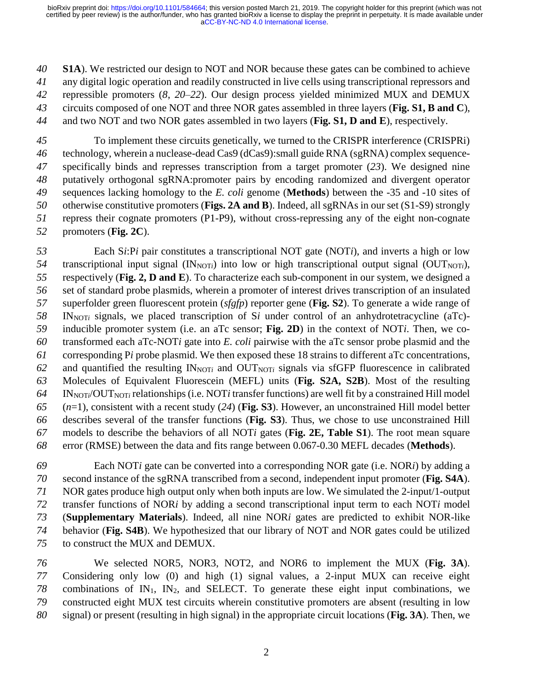**S1A**). We restricted our design to NOT and NOR because these gates can be combined to achieve any digital logic operation and readily constructed in live cells using transcriptional repressors and repressible promoters (*8*, *20*–*22*). Our design process yielded minimized MUX and DEMUX circuits composed of one NOT and three NOR gates assembled in three layers (**Fig. S1, B and C**), and two NOT and two NOR gates assembled in two layers (**Fig. S1, D and E**), respectively.

 To implement these circuits genetically, we turned to the CRISPR interference (CRISPRi) technology, wherein a nuclease-dead Cas9 (dCas9):small guide RNA (sgRNA) complex sequence- specifically binds and represses transcription from a target promoter (*23*). We designed nine putatively orthogonal sgRNA:promoter pairs by encoding randomized and divergent operator sequences lacking homology to the *E. coli* genome (**Methods**) between the -35 and -10 sites of otherwise constitutive promoters (**Figs. 2A and B**). Indeed, all sgRNAs in our set (S1-S9) strongly repress their cognate promoters (P1-P9), without cross-repressing any of the eight non-cognate promoters (**Fig. 2C**).

 Each S*i*:P*i* pair constitutes a transcriptional NOT gate (NOT*i*), and inverts a high or low transcriptional input signal  $(IN_{NOT}$  into low or high transcriptional output signal  $(OUT_{NOT}$ ), respectively (**Fig. 2, D and E**). To characterize each sub-component in our system, we designed a set of standard probe plasmids, wherein a promoter of interest drives transcription of an insulated superfolder green fluorescent protein (*sfgfp*) reporter gene (**Fig. S2**). To generate a wide range of IN<sub>NOT*i*</sub> signals, we placed transcription of S*i* under control of an anhydrotetracycline (aTc)- inducible promoter system (i.e. an aTc sensor; **Fig. 2D**) in the context of NOT*i*. Then, we co- transformed each aTc-NOT*i* gate into *E. coli* pairwise with the aTc sensor probe plasmid and the corresponding P*i* probe plasmid. We then exposed these 18 strains to different aTc concentrations, and quantified the resulting  $IN_{NOT}$  and  $OUT_{NOT}$  signals via sfGFP fluorescence in calibrated Molecules of Equivalent Fluorescein (MEFL) units (**Fig. S2A, S2B**). Most of the resulting INNOT*i*/OUTNOT*<sup>i</sup>* relationships (i.e. NOT*i* transfer functions) are well fit by a constrained Hill model (*n*=1), consistent with a recent study (*24*) (**Fig. S3**). However, an unconstrained Hill model better describes several of the transfer functions (**Fig. S3**). Thus, we chose to use unconstrained Hill models to describe the behaviors of all NOT*i* gates (**Fig. 2E, Table S1**). The root mean square error (RMSE) between the data and fits range between 0.067-0.30 MEFL decades (**Methods**).

 Each NOT*i* gate can be converted into a corresponding NOR gate (i.e. NOR*i*) by adding a second instance of the sgRNA transcribed from a second, independent input promoter (**Fig. S4A**). NOR gates produce high output only when both inputs are low. We simulated the 2-input/1-output transfer functions of NOR*i* by adding a second transcriptional input term to each NOT*i* model (**Supplementary Materials**). Indeed, all nine NOR*i* gates are predicted to exhibit NOR-like behavior (**Fig. S4B**). We hypothesized that our library of NOT and NOR gates could be utilized to construct the MUX and DEMUX.

 We selected NOR5, NOR3, NOT2, and NOR6 to implement the MUX (**Fig. 3A**). Considering only low (0) and high (1) signal values, a 2-input MUX can receive eight combinations of IN1, IN2, and SELECT. To generate these eight input combinations, we constructed eight MUX test circuits wherein constitutive promoters are absent (resulting in low signal) or present (resulting in high signal) in the appropriate circuit locations (**Fig. 3A**). Then, we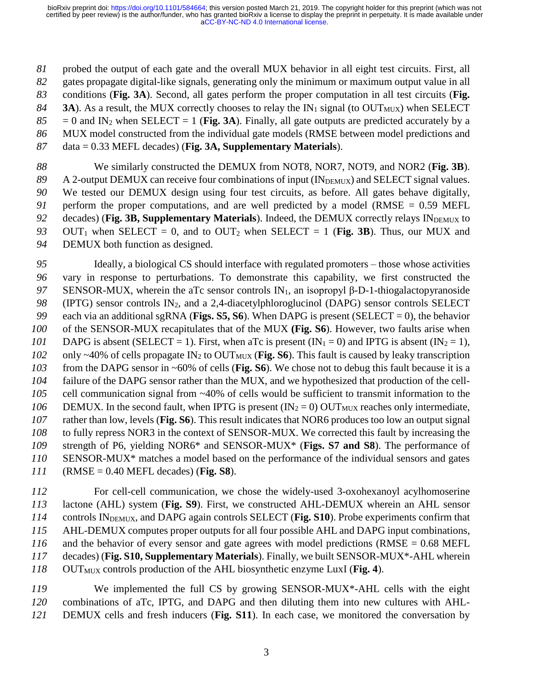probed the output of each gate and the overall MUX behavior in all eight test circuits. First, all gates propagate digital-like signals, generating only the minimum or maximum output value in all conditions (**Fig. 3A**). Second, all gates perform the proper computation in all test circuits (**Fig. 3A**). As a result, the MUX correctly chooses to relay the IN<sub>1</sub> signal (to OUT<sub>MUX</sub>) when SELECT  $85 = 0$  and IN<sub>2</sub> when SELECT = 1 (**Fig. 3A**). Finally, all gate outputs are predicted accurately by a MUX model constructed from the individual gate models (RMSE between model predictions and data = 0.33 MEFL decades) (**Fig. 3A, Supplementary Materials**).

 We similarly constructed the DEMUX from NOT8, NOR7, NOT9, and NOR2 (**Fig. 3B**). 89 A 2-output DEMUX can receive four combinations of input (IN<sub>DEMUX</sub>) and SELECT signal values. We tested our DEMUX design using four test circuits, as before. All gates behave digitally, perform the proper computations, and are well predicted by a model (RMSE = 0.59 MEFL 92 decades) (**Fig. 3B, Supplementary Materials**). Indeed, the DEMUX correctly relays IN<sub>DEMUX</sub> to 93 OUT<sub>1</sub> when SELECT = 0, and to OUT<sub>2</sub> when SELECT = 1 (Fig. 3B). Thus, our MUX and DEMUX both function as designed.

 Ideally, a biological CS should interface with regulated promoters – those whose activities vary in response to perturbations. To demonstrate this capability, we first constructed the 97 SENSOR-MUX, wherein the aTc sensor controls IN<sub>1</sub>, an isopropyl β-D-1-thiogalactopyranoside (IPTG) sensor controls IN2, and a 2,4-diacetylphloroglucinol (DAPG) sensor controls SELECT each via an additional sgRNA (**Figs. S5, S6**). When DAPG is present (SELECT = 0), the behavior of the SENSOR-MUX recapitulates that of the MUX **(Fig. S6**). However, two faults arise when DAPG is absent (SELECT = 1). First, when aTc is present ( $IN_1 = 0$ ) and IPTG is absent ( $IN_2 = 1$ ), 102 only ~40% of cells propagate IN<sub>2</sub> to OUT<sub>MUX</sub> (**Fig. S6**). This fault is caused by leaky transcription from the DAPG sensor in ~60% of cells (**Fig. S6**). We chose not to debug this fault because it is a failure of the DAPG sensor rather than the MUX, and we hypothesized that production of the cell- cell communication signal from ~40% of cells would be sufficient to transmit information to the DEMUX. In the second fault, when IPTG is present  $(IN_2 = 0)$  OUT<sub>MUX</sub> reaches only intermediate, rather than low, levels (**Fig. S6**). This result indicates that NOR6 produces too low an output signal to fully repress NOR3 in the context of SENSOR-MUX. We corrected this fault by increasing the strength of P6, yielding NOR6\* and SENSOR-MUX\* (**Figs. S7 and S8**). The performance of SENSOR-MUX\* matches a model based on the performance of the individual sensors and gates (RMSE = 0.40 MEFL decades) (**Fig. S8**).

 For cell-cell communication, we chose the widely-used 3-oxohexanoyl acylhomoserine lactone (AHL) system (**Fig. S9**). First, we constructed AHL-DEMUX wherein an AHL sensor 114 controls IN<sub>DEMUX</sub>, and DAPG again controls SELECT (Fig. S10). Probe experiments confirm that AHL-DEMUX computes proper outputs for all four possible AHL and DAPG input combinations, and the behavior of every sensor and gate agrees with model predictions (RMSE = 0.68 MEFL decades) (**Fig. S10, Supplementary Materials**). Finally, we built SENSOR-MUX\*-AHL wherein 118 OUT<sub>MUX</sub> controls production of the AHL biosynthetic enzyme LuxI (Fig. 4).

 We implemented the full CS by growing SENSOR-MUX\*-AHL cells with the eight combinations of aTc, IPTG, and DAPG and then diluting them into new cultures with AHL-DEMUX cells and fresh inducers (**Fig. S11**). In each case, we monitored the conversation by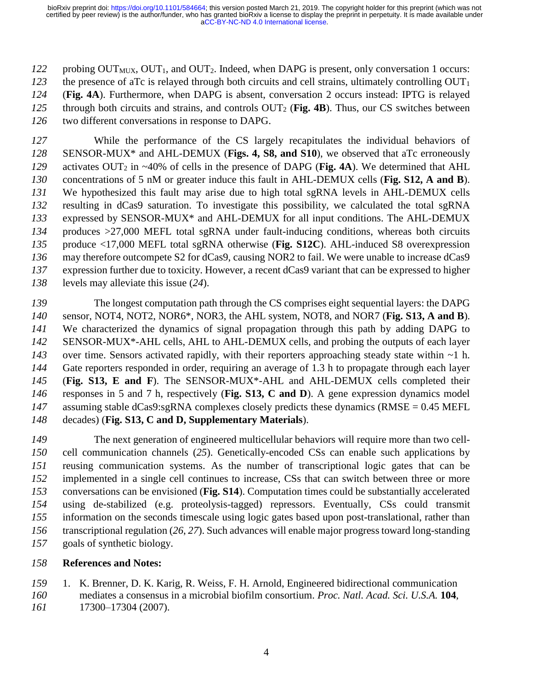probing  $OUT_{MUX}$ ,  $OUT_1$ , and  $OUT_2$ . Indeed, when DAPG is present, only conversation 1 occurs: the presence of aTc is relayed through both circuits and cell strains, ultimately controlling  $OUT_1$  (**Fig. 4A**). Furthermore, when DAPG is absent, conversation 2 occurs instead: IPTG is relayed through both circuits and strains, and controls OUT<sup>2</sup> (**Fig. 4B**). Thus, our CS switches between two different conversations in response to DAPG.

 While the performance of the CS largely recapitulates the individual behaviors of SENSOR-MUX\* and AHL-DEMUX (**Figs. 4, S8, and S10**), we observed that aTc erroneously 129 activates OUT<sub>2</sub> in ~40% of cells in the presence of DAPG (Fig. 4A). We determined that AHL concentrations of 5 nM or greater induce this fault in AHL-DEMUX cells (**Fig. S12, A and B**). We hypothesized this fault may arise due to high total sgRNA levels in AHL-DEMUX cells resulting in dCas9 saturation. To investigate this possibility, we calculated the total sgRNA expressed by SENSOR-MUX\* and AHL-DEMUX for all input conditions. The AHL-DEMUX produces >27,000 MEFL total sgRNA under fault-inducing conditions, whereas both circuits produce <17,000 MEFL total sgRNA otherwise (**Fig. S12C**). AHL-induced S8 overexpression may therefore outcompete S2 for dCas9, causing NOR2 to fail. We were unable to increase dCas9 expression further due to toxicity. However, a recent dCas9 variant that can be expressed to higher levels may alleviate this issue (*24*).

 The longest computation path through the CS comprises eight sequential layers: the DAPG sensor, NOT4, NOT2, NOR6\*, NOR3, the AHL system, NOT8, and NOR7 (**Fig. S13, A and B**). We characterized the dynamics of signal propagation through this path by adding DAPG to SENSOR-MUX\*-AHL cells, AHL to AHL-DEMUX cells, and probing the outputs of each layer 143 over time. Sensors activated rapidly, with their reporters approaching steady state within ~1 h. Gate reporters responded in order, requiring an average of 1.3 h to propagate through each layer (**Fig. S13, E and F**). The SENSOR-MUX\*-AHL and AHL-DEMUX cells completed their responses in 5 and 7 h, respectively (**Fig. S13, C and D**). A gene expression dynamics model 147 assuming stable dCas9:sgRNA complexes closely predicts these dynamics (RMSE = 0.45 MEFL) decades) (**Fig. S13, C and D, Supplementary Materials**).

 The next generation of engineered multicellular behaviors will require more than two cell- cell communication channels (*25*). Genetically-encoded CSs can enable such applications by reusing communication systems. As the number of transcriptional logic gates that can be implemented in a single cell continues to increase, CSs that can switch between three or more conversations can be envisioned (**Fig. S14**). Computation times could be substantially accelerated using de-stabilized (e.g. proteolysis-tagged) repressors. Eventually, CSs could transmit information on the seconds timescale using logic gates based upon post-translational, rather than transcriptional regulation (*26*, *27*). Such advances will enable major progress toward long-standing goals of synthetic biology.

## **References and Notes:**

 1. K. Brenner, D. K. Karig, R. Weiss, F. H. Arnold, Engineered bidirectional communication mediates a consensus in a microbial biofilm consortium. *Proc. Natl. Acad. Sci. U.S.A.* **104**, 17300–17304 (2007).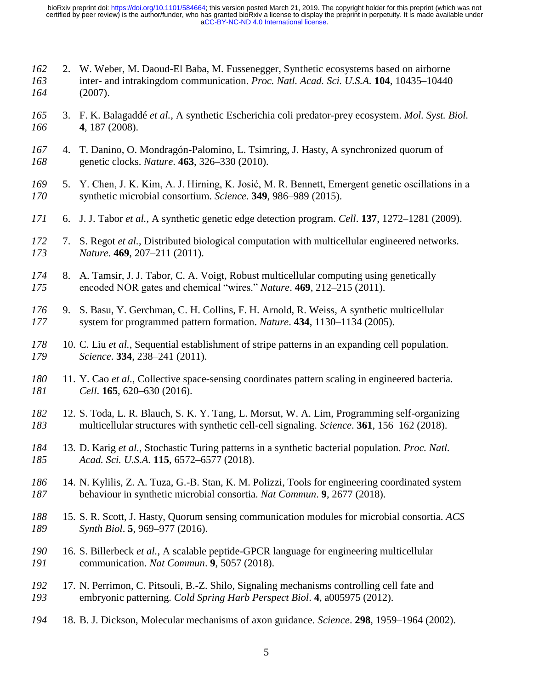- 2. W. Weber, M. Daoud-El Baba, M. Fussenegger, Synthetic ecosystems based on airborne inter- and intrakingdom communication. *Proc. Natl. Acad. Sci. U.S.A.* **104**, 10435–10440 (2007).
- 3. F. K. Balagaddé *et al.*, A synthetic Escherichia coli predator-prey ecosystem. *Mol. Syst. Biol.* **4**, 187 (2008).
- 4. T. Danino, O. Mondragón-Palomino, L. Tsimring, J. Hasty, A synchronized quorum of genetic clocks. *Nature*. **463**, 326–330 (2010).
- 5. Y. Chen, J. K. Kim, A. J. Hirning, K. Josić, M. R. Bennett, Emergent genetic oscillations in a synthetic microbial consortium. *Science*. **349**, 986–989 (2015).
- 6. J. J. Tabor *et al.*, A synthetic genetic edge detection program. *Cell*. **137**, 1272–1281 (2009).
- 7. S. Regot *et al.*, Distributed biological computation with multicellular engineered networks. *Nature*. **469**, 207–211 (2011).
- 8. A. Tamsir, J. J. Tabor, C. A. Voigt, Robust multicellular computing using genetically encoded NOR gates and chemical "wires." *Nature*. **469**, 212–215 (2011).
- 9. S. Basu, Y. Gerchman, C. H. Collins, F. H. Arnold, R. Weiss, A synthetic multicellular system for programmed pattern formation. *Nature*. **434**, 1130–1134 (2005).
- 10. C. Liu *et al.*, Sequential establishment of stripe patterns in an expanding cell population. *Science*. **334**, 238–241 (2011).
- 11. Y. Cao *et al.*, Collective space-sensing coordinates pattern scaling in engineered bacteria. *Cell*. **165**, 620–630 (2016).
- 12. S. Toda, L. R. Blauch, S. K. Y. Tang, L. Morsut, W. A. Lim, Programming self-organizing multicellular structures with synthetic cell-cell signaling. *Science*. **361**, 156–162 (2018).
- 13. D. Karig *et al.*, Stochastic Turing patterns in a synthetic bacterial population. *Proc. Natl. Acad. Sci. U.S.A.* **115**, 6572–6577 (2018).
- 14. N. Kylilis, Z. A. Tuza, G.-B. Stan, K. M. Polizzi, Tools for engineering coordinated system behaviour in synthetic microbial consortia. *Nat Commun*. **9**, 2677 (2018).
- 15. S. R. Scott, J. Hasty, Quorum sensing communication modules for microbial consortia. *ACS Synth Biol*. **5**, 969–977 (2016).
- 16. S. Billerbeck *et al.*, A scalable peptide-GPCR language for engineering multicellular communication. *Nat Commun*. **9**, 5057 (2018).
- 17. N. Perrimon, C. Pitsouli, B.-Z. Shilo, Signaling mechanisms controlling cell fate and embryonic patterning. *Cold Spring Harb Perspect Biol*. **4**, a005975 (2012).
- 18. B. J. Dickson, Molecular mechanisms of axon guidance. *Science*. **298**, 1959–1964 (2002).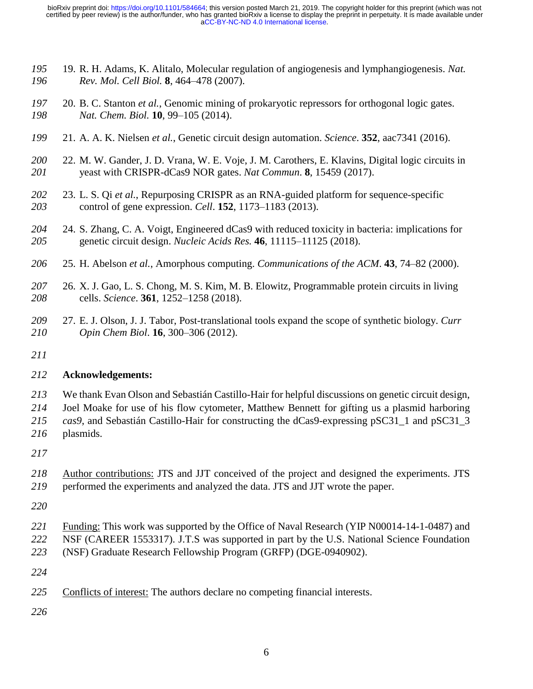- 19. R. H. Adams, K. Alitalo, Molecular regulation of angiogenesis and lymphangiogenesis. *Nat. Rev. Mol. Cell Biol.* **8**, 464–478 (2007).
- 20. B. C. Stanton *et al.*, Genomic mining of prokaryotic repressors for orthogonal logic gates. *Nat. Chem. Biol.* **10**, 99–105 (2014).
- 21. A. A. K. Nielsen *et al.*, Genetic circuit design automation. *Science*. **352**, aac7341 (2016).
- 22. M. W. Gander, J. D. Vrana, W. E. Voje, J. M. Carothers, E. Klavins, Digital logic circuits in yeast with CRISPR-dCas9 NOR gates. *Nat Commun*. **8**, 15459 (2017).
- 23. L. S. Qi *et al.*, Repurposing CRISPR as an RNA-guided platform for sequence-specific control of gene expression. *Cell*. **152**, 1173–1183 (2013).
- 24. S. Zhang, C. A. Voigt, Engineered dCas9 with reduced toxicity in bacteria: implications for genetic circuit design. *Nucleic Acids Res.* **46**, 11115–11125 (2018).
- 25. H. Abelson *et al.*, Amorphous computing. *Communications of the ACM*. **43**, 74–82 (2000).
- 26. X. J. Gao, L. S. Chong, M. S. Kim, M. B. Elowitz, Programmable protein circuits in living cells. *Science*. **361**, 1252–1258 (2018).
- 27. E. J. Olson, J. J. Tabor, Post-translational tools expand the scope of synthetic biology. *Curr Opin Chem Biol*. **16**, 300–306 (2012).
- 

### **Acknowledgements:**

- We thank Evan Olson and Sebastián Castillo-Hair for helpful discussions on genetic circuit design,
- Joel Moake for use of his flow cytometer, Matthew Bennett for gifting us a plasmid harboring
- *cas9*, and Sebastián Castillo-Hair for constructing the dCas9-expressing pSC31\_1 and pSC31\_3
- plasmids.
- 
- Author contributions: JTS and JJT conceived of the project and designed the experiments. JTS performed the experiments and analyzed the data. JTS and JJT wrote the paper.
- 
- Funding: This work was supported by the Office of Naval Research (YIP N00014-14-1-0487) and NSF (CAREER 1553317). J.T.S was supported in part by the U.S. National Science Foundation
- (NSF) Graduate Research Fellowship Program (GRFP) (DGE-0940902).
- 
- Conflicts of interest: The authors declare no competing financial interests.
-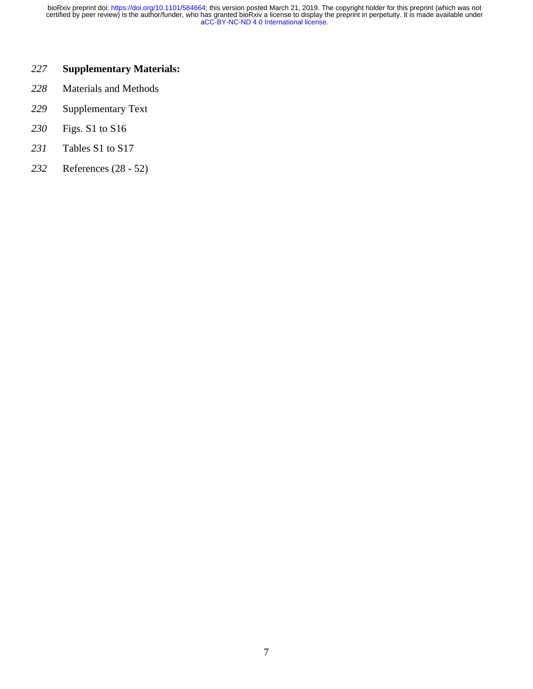## **Supplementary Materials:**

- Materials and Methods
- Supplementary Text
- Figs. S1 to S16
- Tables S1 to S17
- References (28 52)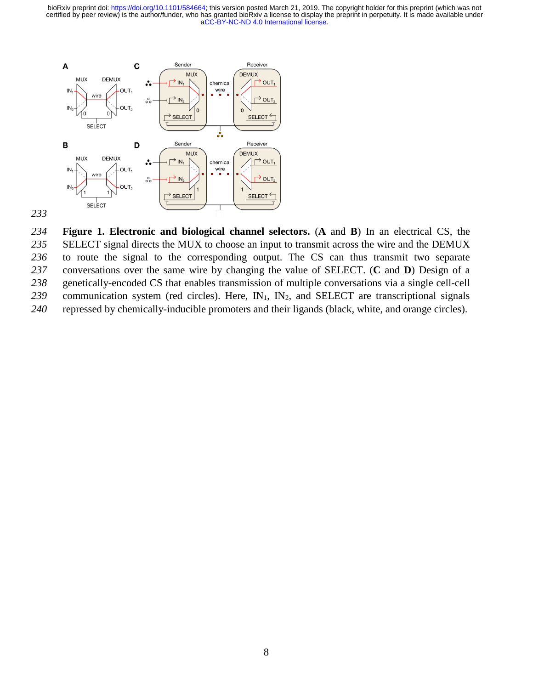

 **Figure 1. Electronic and biological channel selectors.** (**A** and **B**) In an electrical CS, the SELECT signal directs the MUX to choose an input to transmit across the wire and the DEMUX to route the signal to the corresponding output. The CS can thus transmit two separate conversations over the same wire by changing the value of SELECT. (**C** and **D**) Design of a genetically-encoded CS that enables transmission of multiple conversations via a single cell-cell 239 communication system (red circles). Here, IN<sub>1</sub>, IN<sub>2</sub>, and SELECT are transcriptional signals repressed by chemically-inducible promoters and their ligands (black, white, and orange circles).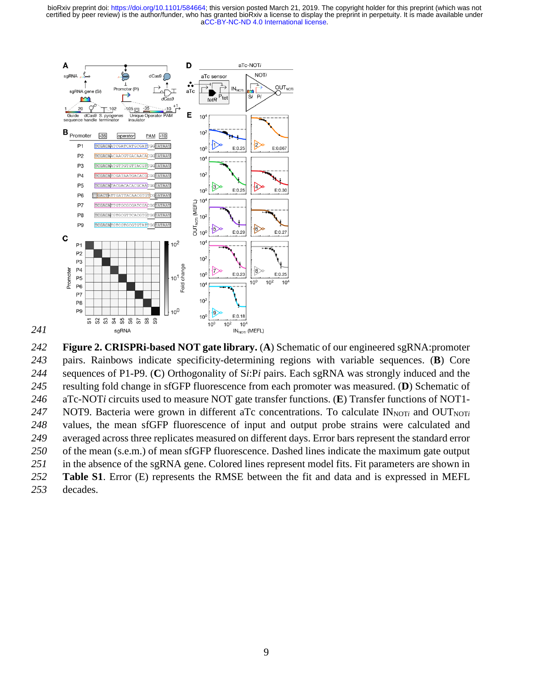

 **Figure 2. CRISPRi-based NOT gate library.** (**A**) Schematic of our engineered sgRNA:promoter pairs. Rainbows indicate specificity-determining regions with variable sequences. (**B**) Core sequences of P1-P9. (**C**) Orthogonality of S*i*:P*i* pairs. Each sgRNA was strongly induced and the resulting fold change in sfGFP fluorescence from each promoter was measured. (**D**) Schematic of aTc-NOT*i* circuits used to measure NOT gate transfer functions. (**E**) Transfer functions of NOT1- 247 NOT9. Bacteria were grown in different aTc concentrations. To calculate  $IN_{NOT}$  and  $OUT_{NOT}$  values, the mean sfGFP fluorescence of input and output probe strains were calculated and averaged across three replicates measured on different days. Error bars represent the standard error of the mean (s.e.m.) of mean sfGFP fluorescence. Dashed lines indicate the maximum gate output in the absence of the sgRNA gene. Colored lines represent model fits. Fit parameters are shown in **Table S1**. Error (E) represents the RMSE between the fit and data and is expressed in MEFL decades.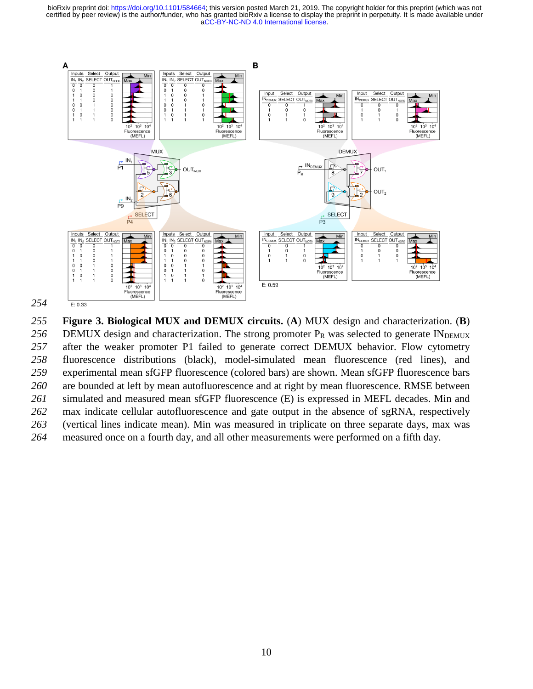[aCC-BY-NC-ND 4.0 International license.](http://creativecommons.org/licenses/by-nc-nd/4.0/) certified by peer review) is the author/funder, who has granted bioRxiv a license to display the preprint in perpetuity. It is made available under bioRxiv preprint doi: [https://doi.org/10.1101/584664;](https://doi.org/10.1101/584664) this version posted March 21, 2019. The copyright holder for this preprint (which was not



 **Figure 3. Biological MUX and DEMUX circuits.** (**A**) MUX design and characterization. (**B**) 256 DEMUX design and characterization. The strong promoter P<sub>R</sub> was selected to generate INDEMUX after the weaker promoter P1 failed to generate correct DEMUX behavior. Flow cytometry fluorescence distributions (black), model-simulated mean fluorescence (red lines), and experimental mean sfGFP fluorescence (colored bars) are shown. Mean sfGFP fluorescence bars are bounded at left by mean autofluorescence and at right by mean fluorescence. RMSE between simulated and measured mean sfGFP fluorescence (E) is expressed in MEFL decades. Min and max indicate cellular autofluorescence and gate output in the absence of sgRNA, respectively (vertical lines indicate mean). Min was measured in triplicate on three separate days, max was measured once on a fourth day, and all other measurements were performed on a fifth day.